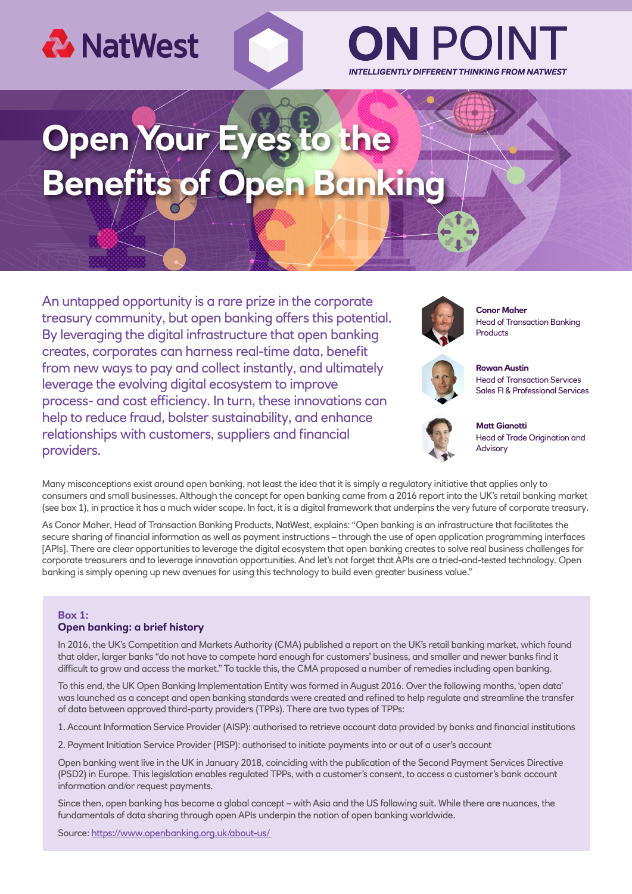

# INTELLIGENTLY DIFFERENT THINKING FROM NATWEST

## **Open Y Benefits of Open B**

An untapped opportunity is a rare prize in the corporate treasury community, but open banking offers this potential. By leveraging the digital infrastructure that open banking creates, corporates can harness real-time data, benefit from new ways to pay and collect instantly, and ultimately leverage the evolving digital ecosystem to improve process- and cost efficiency. In turn, these innovations can help to reduce fraud, bolster sustainability, and enhance relationships with customers, suppliers and financial providers.



**Conor Maher** Head of Transaction Banking Products



**Rowan Austin** Head of Transaction Services Sales FI & Professional Services



**Matt Gianotti** Head of Trade Origination and Advisory

Many misconceptions exist around open banking, not least the idea that it is simply a regulatory initiative that applies only to consumers and small businesses. Although the concept for open banking came from a 2016 report into the UK's retail banking market (see box 1), in practice it has a much wider scope. In fact, it is a digital framework that underpins the very future of corporate treasury.

As Conor Maher, Head of Transaction Banking Products, NatWest, explains: "Open banking is an infrastructure that facilitates the secure sharing of financial information as well as payment instructions – through the use of open application programming interfaces [APIs]. There are clear opportunities to leverage the digital ecosystem that open banking creates to solve real business challenges for corporate treasurers and to leverage innovation opportunities. And let's not forget that APIs are a tried-and-tested technology. Open banking is simply opening up new avenues for using this technology to build even greater business value."

#### **Box 1: Open banking: a brief history**

In 2016, the UK's Competition and Markets Authority (CMA) published a report on the UK's retail banking market, which found that older, larger banks "do not have to compete hard enough for customers' business, and smaller and newer banks find it difficult to grow and access the market." To tackle this, the CMA proposed a number of remedies including open banking.

To this end, the UK Open Banking Implementation Entity was formed in August 2016. Over the following months, 'open data' was launched as a concept and open banking standards were created and refined to help regulate and streamline the transfer of data between approved third-party providers (TPPs). There are two types of TPPs:

1. Account Information Service Provider (AISP): authorised to retrieve account data provided by banks and financial institutions

2. Payment Initiation Service Provider (PISP): authorised to initiate payments into or out of a user's account

Open banking went live in the UK in January 2018, coinciding with the publication of the Second Payment Services Directive (PSD2) in Europe. This legislation enables regulated TPPs, with a customer's consent, to access a customer's bank account information and/or request payments.

Since then, open banking has become a global concept – with Asia and the US following suit. While there are nuances, the fundamentals of data sharing through open APIs underpin the notion of open banking worldwide.

Source: https://www.openbanking.org.uk/about-us/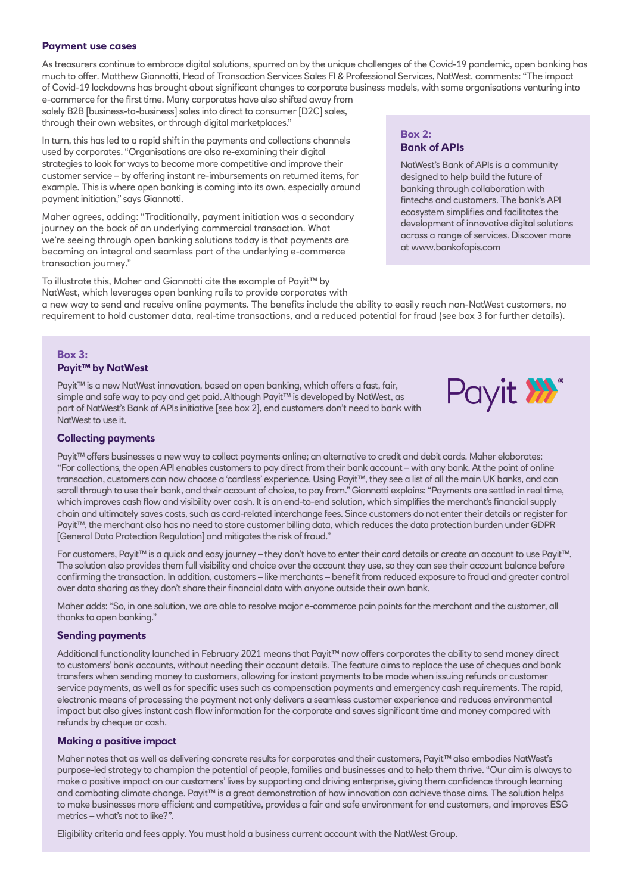#### **Payment use cases**

As treasurers continue to embrace digital solutions, spurred on by the unique challenges of the Covid-19 pandemic, open banking has much to offer. Matthew Giannotti, Head of Transaction Services Sales FI & Professional Services, NatWest, comments: "The impact of Covid-19 lockdowns has brought about significant changes to corporate business models, with some organisations venturing into

e-commerce for the first time. Many corporates have also shifted away from solely B2B [business-to-business] sales into direct to consumer [D2C] sales, through their own websites, or through digital marketplaces."

In turn, this has led to a rapid shift in the payments and collections channels used by corporates. "Organisations are also re-examining their digital strategies to look for ways to become more competitive and improve their customer service – by offering instant re-imbursements on returned items, for example. This is where open banking is coming into its own, especially around payment initiation," says Giannotti.

Maher agrees, adding: "Traditionally, payment initiation was a secondary journey on the back of an underlying commercial transaction. What we're seeing through open banking solutions today is that payments are becoming an integral and seamless part of the underlying e-commerce transaction journey."

#### **Box 2: Bank of APIs**

NatWest's Bank of APIs is a community designed to help build the future of banking through collaboration with fintechs and customers. The bank's API ecosystem simplifies and facilitates the development of innovative digital solutions across a range of services. Discover more at www.bankofapis.com

To illustrate this, Maher and Giannotti cite the example of Payit™ by NatWest, which leverages open banking rails to provide corporates with a new way to send and receive online payments. The benefits include the ability to easily reach non-NatWest customers, no requirement to hold customer data, real-time transactions, and a reduced potential for fraud (see box 3 for further details).

#### **Box 3: Payit™ by NatWest**

Payit™ is a new NatWest innovation, based on open banking, which offers a fast, fair, simple and safe way to pay and get paid. Although Payit™ is developed by NatWest, as part of NatWest's Bank of APIs initiative [see box 2], end customers don't need to bank with NatWest to use it.



#### **Collecting payments**

Payit™ offers businesses a new way to collect payments online; an alternative to credit and debit cards. Maher elaborates: "For collections, the open API enables customers to pay direct from their bank account – with any bank. At the point of online transaction, customers can now choose a 'cardless' experience. Using Payit™, they see a list of all the main UK banks, and can scroll through to use their bank, and their account of choice, to pay from." Giannotti explains: "Payments are settled in real time, which improves cash flow and visibility over cash. It is an end-to-end solution, which simplifies the merchant's financial supply chain and ultimately saves costs, such as card-related interchange fees. Since customers do not enter their details or register for Payit™, the merchant also has no need to store customer billing data, which reduces the data protection burden under GDPR [General Data Protection Regulation] and mitigates the risk of fraud."

For customers, Payit™ is a quick and easy journey – they don't have to enter their card details or create an account to use Payit™. The solution also provides them full visibility and choice over the account they use, so they can see their account balance before confirming the transaction. In addition, customers – like merchants – benefit from reduced exposure to fraud and greater control over data sharing as they don't share their financial data with anyone outside their own bank.

Maher adds: "So, in one solution, we are able to resolve major e-commerce pain points for the merchant and the customer, all thanks to open banking."

#### **Sending payments**

Additional functionality launched in February 2021 means that Payit™ now offers corporates the ability to send money direct to customers' bank accounts, without needing their account details. The feature aims to replace the use of cheques and bank transfers when sending money to customers, allowing for instant payments to be made when issuing refunds or customer service payments, as well as for specific uses such as compensation payments and emergency cash requirements. The rapid, electronic means of processing the payment not only delivers a seamless customer experience and reduces environmental impact but also gives instant cash flow information for the corporate and saves significant time and money compared with refunds by cheque or cash.

#### **Making a positive impact**

Maher notes that as well as delivering concrete results for corporates and their customers, Payit™ also embodies NatWest's purpose-led strategy to champion the potential of people, families and businesses and to help them thrive. "Our aim is always to make a positive impact on our customers' lives by supporting and driving enterprise, giving them confidence through learning and combating climate change. Payit™ is a great demonstration of how innovation can achieve those aims. The solution helps to make businesses more efficient and competitive, provides a fair and safe environment for end customers, and improves ESG metrics – what's not to like?".

Eligibility criteria and fees apply. You must hold a business current account with the NatWest Group.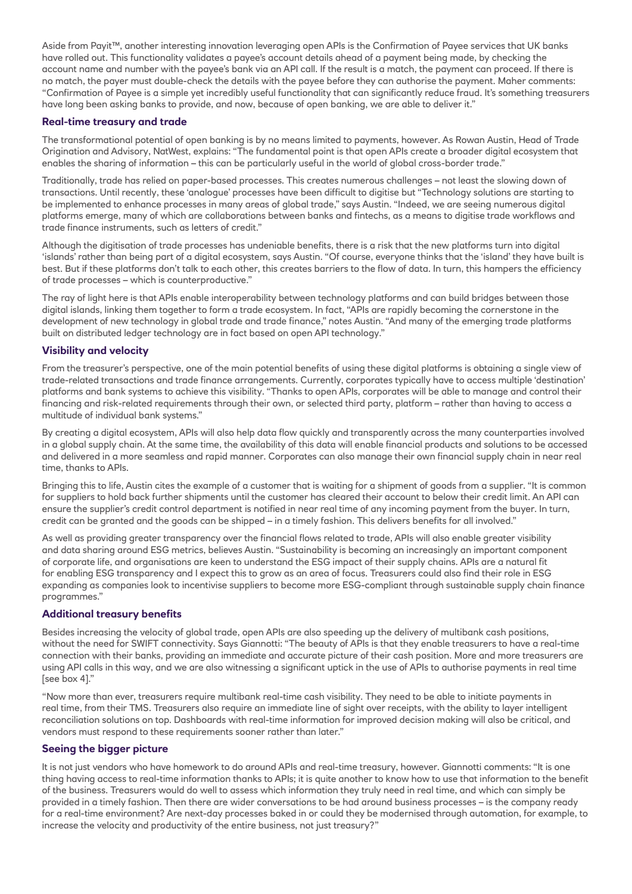Aside from Payit™, another interesting innovation leveraging open APIs is the Confirmation of Payee services that UK banks have rolled out. This functionality validates a payee's account details ahead of a payment being made, by checking the account name and number with the payee's bank via an API call. If the result is a match, the payment can proceed. If there is no match, the payer must double-check the details with the payee before they can authorise the payment. Maher comments: "Confirmation of Payee is a simple yet incredibly useful functionality that can significantly reduce fraud. It's something treasurers have long been asking banks to provide, and now, because of open banking, we are able to deliver it."

#### **Real-time treasury and trade**

The transformational potential of open banking is by no means limited to payments, however. As Rowan Austin, Head of Trade Origination and Advisory, NatWest, explains: "The fundamental point is that open APIs create a broader digital ecosystem that enables the sharing of information – this can be particularly useful in the world of global cross-border trade."

Traditionally, trade has relied on paper-based processes. This creates numerous challenges – not least the slowing down of transactions. Until recently, these 'analogue' processes have been difficult to digitise but "Technology solutions are starting to be implemented to enhance processes in many areas of global trade," says Austin. "Indeed, we are seeing numerous digital platforms emerge, many of which are collaborations between banks and fintechs, as a means to digitise trade workflows and trade finance instruments, such as letters of credit."

Although the digitisation of trade processes has undeniable benefits, there is a risk that the new platforms turn into digital 'islands' rather than being part of a digital ecosystem, says Austin. "Of course, everyone thinks that the 'island' they have built is best. But if these platforms don't talk to each other, this creates barriers to the flow of data. In turn, this hampers the efficiency of trade processes – which is counterproductive."

The ray of light here is that APIs enable interoperability between technology platforms and can build bridges between those digital islands, linking them together to form a trade ecosystem. In fact, "APIs are rapidly becoming the cornerstone in the development of new technology in global trade and trade finance," notes Austin. "And many of the emerging trade platforms built on distributed ledger technology are in fact based on open API technology."

#### **Visibility and velocity**

From the treasurer's perspective, one of the main potential benefits of using these digital platforms is obtaining a single view of trade-related transactions and trade finance arrangements. Currently, corporates typically have to access multiple 'destination' platforms and bank systems to achieve this visibility. "Thanks to open APIs, corporates will be able to manage and control their financing and risk-related requirements through their own, or selected third party, platform – rather than having to access a multitude of individual bank systems."

By creating a digital ecosystem, APIs will also help data flow quickly and transparently across the many counterparties involved in a global supply chain. At the same time, the availability of this data will enable financial products and solutions to be accessed and delivered in a more seamless and rapid manner. Corporates can also manage their own financial supply chain in near real time, thanks to APIs.

Bringing this to life, Austin cites the example of a customer that is waiting for a shipment of goods from a supplier. "It is common for suppliers to hold back further shipments until the customer has cleared their account to below their credit limit. An API can ensure the supplier's credit control department is notified in near real time of any incoming payment from the buyer. In turn, credit can be granted and the goods can be shipped – in a timely fashion. This delivers benefits for all involved."

As well as providing greater transparency over the financial flows related to trade, APIs will also enable greater visibility and data sharing around ESG metrics, believes Austin. "Sustainability is becoming an increasingly an important component of corporate life, and organisations are keen to understand the ESG impact of their supply chains. APIs are a natural fit for enabling ESG transparency and I expect this to grow as an area of focus. Treasurers could also find their role in ESG expanding as companies look to incentivise suppliers to become more ESG-compliant through sustainable supply chain finance programmes."

#### **Additional treasury benefits**

Besides increasing the velocity of global trade, open APIs are also speeding up the delivery of multibank cash positions, without the need for SWIFT connectivity. Says Giannotti: "The beauty of APIs is that they enable treasurers to have a real-time connection with their banks, providing an immediate and accurate picture of their cash position. More and more treasurers are using API calls in this way, and we are also witnessing a significant uptick in the use of APIs to authorise payments in real time [see box 4]."

"Now more than ever, treasurers require multibank real-time cash visibility. They need to be able to initiate payments in real time, from their TMS. Treasurers also require an immediate line of sight over receipts, with the ability to layer intelligent reconciliation solutions on top. Dashboards with real-time information for improved decision making will also be critical, and vendors must respond to these requirements sooner rather than later."

#### **Seeing the bigger picture**

It is not just vendors who have homework to do around APIs and real-time treasury, however. Giannotti comments: "It is one thing having access to real-time information thanks to APIs; it is quite another to know how to use that information to the benefit of the business. Treasurers would do well to assess which information they truly need in real time, and which can simply be provided in a timely fashion. Then there are wider conversations to be had around business processes – is the company ready for a real-time environment? Are next-day processes baked in or could they be modernised through automation, for example, to increase the velocity and productivity of the entire business, not just treasury?"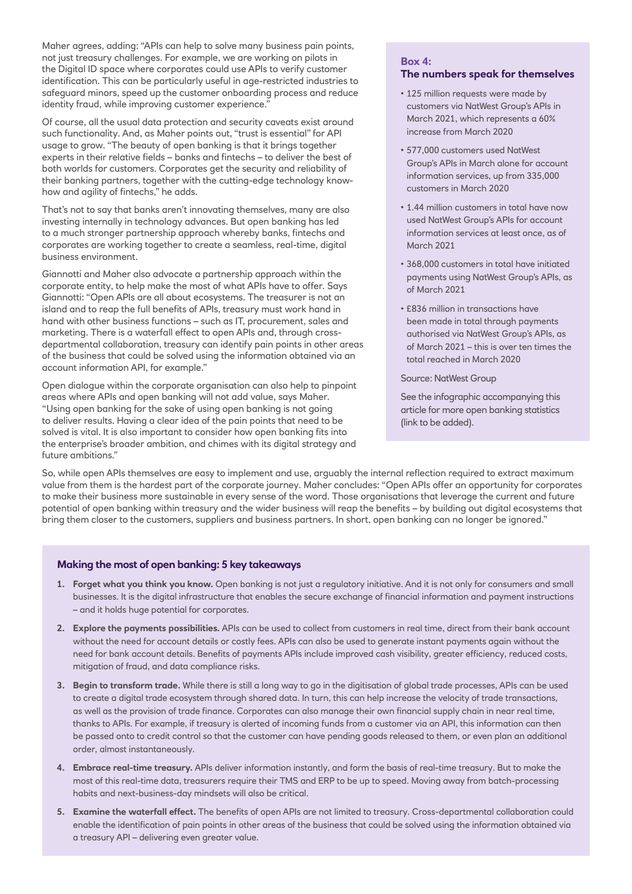Maher agrees, adding: "APIs can help to solve many business pain points, not just treasury challenges. For example, we are working on pilots in the Digital ID space where corporates could use APIs to verify customer identification. This can be particularly useful in age-restricted industries to safeguard minors, speed up the customer onboarding process and reduce identity fraud, while improving customer experience.'

Of course, all the usual data protection and security caveats exist around such functionality. And, as Maher points out, "trust is essential" for API usage to grow. "The beauty of open banking is that it brings together experts in their relative fields – banks and fintechs – to deliver the best of both worlds for customers. Corporates get the security and reliability of their banking partners, together with the cutting-edge technology knowhow and agility of fintechs," he adds.

That's not to say that banks aren't innovating themselves, many are also investing internally in technology advances. But open banking has led to a much stronger partnership approach whereby banks, fintechs and corporates are working together to create a seamless, real-time, digital business environment.

Giannotti and Maher also advocate a partnership approach within the corporate entity, to help make the most of what APIs have to offer. Says Giannotti: "Open APIs are all about ecosystems. The treasurer is not an island and to reap the full benefits of APIs, treasury must work hand in hand with other business functions – such as IT, procurement, sales and marketing. There is a waterfall effect to open APIs and, through crossdepartmental collaboration, treasury can identify pain points in other areas of the business that could be solved using the information obtained via an account information API, for example."

Open dialogue within the corporate organisation can also help to pinpoint areas where APIs and open banking will not add value, says Maher. "Using open banking for the sake of using open banking is not going to deliver results. Having a clear idea of the pain points that need to be solved is vital. It is also important to consider how open banking fits into the enterprise's broader ambition, and chimes with its digital strategy and future ambitions."

### **Box 4: The numbers speak for themselves**

- 125 million requests were made by customers via NatWest Group's APIs in March 2021, which represents a 60% increase from March 2020
- 577,000 customers used NatWest Group's APIs in March alone for account information services, up from 335,000 customers in March 2020
- 1.44 million customers in total have now used NatWest Group's APIs for account information services at least once, as of March 2021
- 368,000 customers in total have initiated payments using NatWest Group's APIs, as of March 2021
- £836 million in transactions have been made in total through payments authorised via NatWest Group's APIs, as of March 2021 – this is over ten times the total reached in March 2020

Source: NatWest Group

See the infographic accompanying this article for more open banking statistics (link to be added).

So, while open APIs themselves are easy to implement and use, arguably the internal reflection required to extract maximum value from them is the hardest part of the corporate journey. Maher concludes: "Open APIs offer an opportunity for corporates to make their business more sustainable in every sense of the word. Those organisations that leverage the current and future potential of open banking within treasury and the wider business will reap the benefits – by building out digital ecosystems that bring them closer to the customers, suppliers and business partners. In short, open banking can no longer be ignored."

### **Making the most of open banking: 5 key takeaways**

- **1. Forget what you think you know.** Open banking is not just a regulatory initiative. And it is not only for consumers and small businesses. It is the digital infrastructure that enables the secure exchange of financial information and payment instructions – and it holds huge potential for corporates.
- **2. Explore the payments possibilities.** APIs can be used to collect from customers in real time, direct from their bank account without the need for account details or costly fees. APIs can also be used to generate instant payments again without the need for bank account details. Benefits of payments APIs include improved cash visibility, greater efficiency, reduced costs, mitigation of fraud, and data compliance risks.
- **3. Begin to transform trade.** While there is still a long way to go in the digitisation of global trade processes, APIs can be used to create a digital trade ecosystem through shared data. In turn, this can help increase the velocity of trade transactions, as well as the provision of trade finance. Corporates can also manage their own financial supply chain in near real time, thanks to APIs. For example, if treasury is alerted of incoming funds from a customer via an API, this information can then be passed onto to credit control so that the customer can have pending goods released to them, or even plan an additional order, almost instantaneously.
- **4. Embrace real-time treasury.** APIs deliver information instantly, and form the basis of real-time treasury. But to make the most of this real-time data, treasurers require their TMS and ERP to be up to speed. Moving away from batch-processing habits and next-business-day mindsets will also be critical.
- **5. Examine the waterfall effect.** The benefits of open APIs are not limited to treasury. Cross-departmental collaboration could enable the identification of pain points in other areas of the business that could be solved using the information obtained via a treasury API – delivering even greater value.